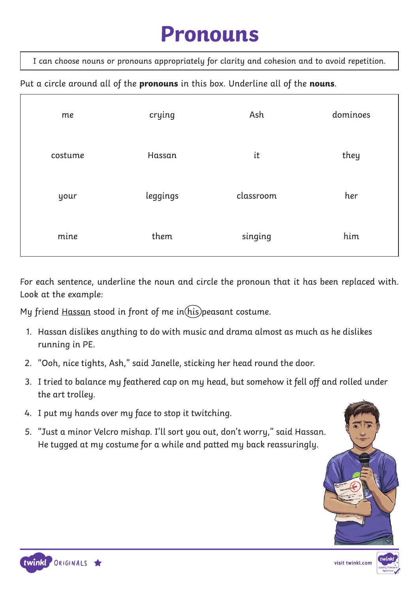## **Pronouns**

I can choose nouns or pronouns appropriately for clarity and cohesion and to avoid repetition.

#### Put a circle around all of the pronouns in this box. Underline all of the nouns.

| me      | crying   | Ash       | dominoes |
|---------|----------|-----------|----------|
| costume | Hassan   | it        | they     |
| your    | leggings | classroom | her      |
| mine    | them     | singing   | him      |

For each sentence, underline the noun and circle the pronoun that it has been replaced with. Look at the example:

My friend Hassan stood in front of me in(his)peasant costume.

- 1. Hassan dislikes anything to do with music and drama almost as much as he dislikes running in PE.
- 2. "Ooh, nice tights, Ash," said Janelle, sticking her head round the door.
- 3. I tried to balance my feathered cap on my head, but somehow it fell off and rolled under the art trolley.
- 4. I put my hands over my face to stop it twitching.
- 5. "Just a minor Velcro mishap. I'll sort you out, don't worry," said Hassan. He tugged at my costume for a while and patted my back reassuringly.







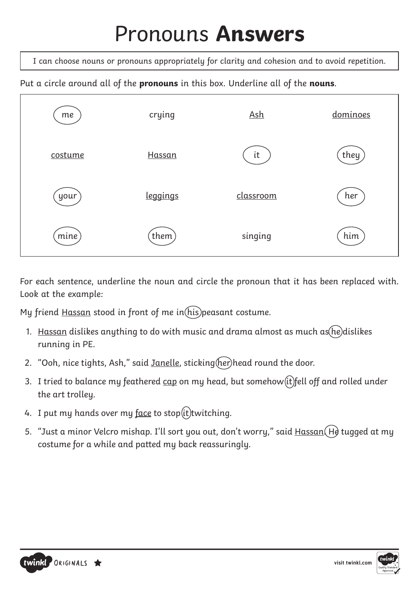# Pronouns **Answers**

I can choose nouns or pronouns appropriately for clarity and cohesion and to avoid repetition.

Put a circle around all of the **pronouns** in this box. Underline all of the **nouns**.



For each sentence, underline the noun and circle the pronoun that it has been replaced with. Look at the example:

My friend Hassan stood in front of me in  $(his)$  peasant costume.

- 1. Hassan dislikes anything to do with music and drama almost as much as he dislikes running in PE.
- 2. "Ooh, nice tights, Ash," said Janelle, sticking (her) head round the door.
- 3. I tried to balance my feathered  $\frac{\text{cap}}{\text{con}}$  on my head, but somehow (it) fell off and rolled under the art trolley.
- 4. I put my hands over my  $\frac{\text{face}}{\text{face}}$  to stop $(\text{it})$ twitching.
- 5. "Just a minor Velcro mishap. I'll sort you out, don't worry," said Hassan (He tugged at my costume for a while and patted my back reassuringly.



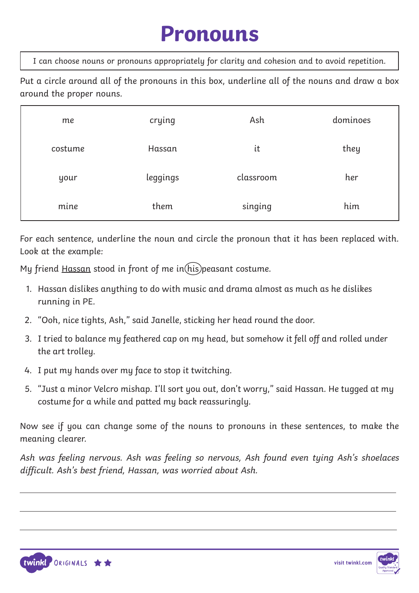## **Pronouns**

I can choose nouns or pronouns appropriately for clarity and cohesion and to avoid repetition.

Put a circle around all of the pronouns in this box, underline all of the nouns and draw a box around the proper nouns.

| me      | crying   | Ash       | dominoes |
|---------|----------|-----------|----------|
| costume | Hassan   | it        | they     |
| your    | leggings | classroom | her      |
| mine    | them     | singing   | him      |

For each sentence, underline the noun and circle the pronoun that it has been replaced with. Look at the example:

My friend Hassan stood in front of me in  $(his)$  peasant costume.

- 1. Hassan dislikes anything to do with music and drama almost as much as he dislikes running in PE.
- 2. "Ooh, nice tights, Ash," said Janelle, sticking her head round the door.
- 3. I tried to balance my feathered cap on my head, but somehow it fell off and rolled under the art trolley.
- 4. I put my hands over my face to stop it twitching.
- 5. "Just a minor Velcro mishap. I'll sort you out, don't worry," said Hassan. He tugged at my costume for a while and patted my back reassuringly.

Now see if you can change some of the nouns to pronouns in these sentences, to make the meaning clearer.

Ash was feeling nervous. Ash was feeling so nervous, Ash found even tying Ash's shoelaces difficult. Ash's best friend, Hassan, was worried about Ash.



 $\overline{a}$ 

 $\overline{a}$ 



 $\overline{a}$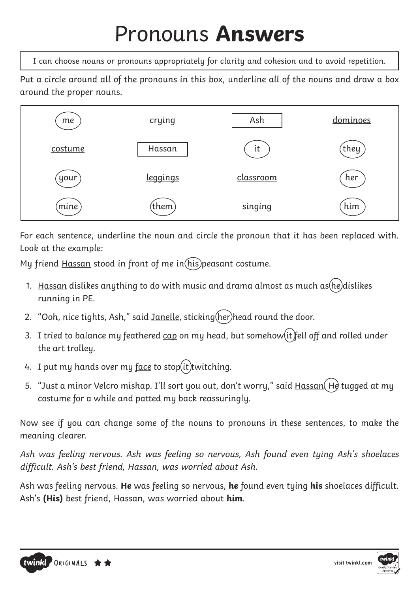# Pronouns **Answers**

I can choose nouns or pronouns appropriately for clarity and cohesion and to avoid repetition.

Put a circle around all of the pronouns in this box, underline all of the nouns and draw a box around the proper nouns.



For each sentence, underline the noun and circle the pronoun that it has been replaced with. Look at the example:

My friend Hassan stood in front of me in  $(his)$  peasant costume.

- 1. Hassan dislikes anything to do with music and drama almost as much as  $he)$  dislikes running in PE.
- 2. "Ooh, nice tights, Ash," said Janelle, sticking (her) head round the door.
- 3. I tried to balance my feathered  $\frac{\text{cap}}{\text{con}}$  on my head, but somehow  $\left(\text{it}\right)$  fell off and rolled under the art trolley.
- 4. I put my hands over my  $face$  to stop $(it)$ twitching.
- 5. "Just a minor Velcro mishap. I'll sort you out, don't worry," said Hassan (He tugged at my costume for a while and patted my back reassuringly.

Now see if you can change some of the nouns to pronouns in these sentences, to make the meaning clearer.

Ash was feeling nervous. Ash was feeling so nervous, Ash found even tying Ash's shoelaces difficult. Ash's best friend, Hassan, was worried about Ash.

Ash was feeling nervous. **He** was feeling so nervous, **he** found even tying **his** shoelaces difficult. Ash's **(His)** best friend, Hassan, was worried about **him**.



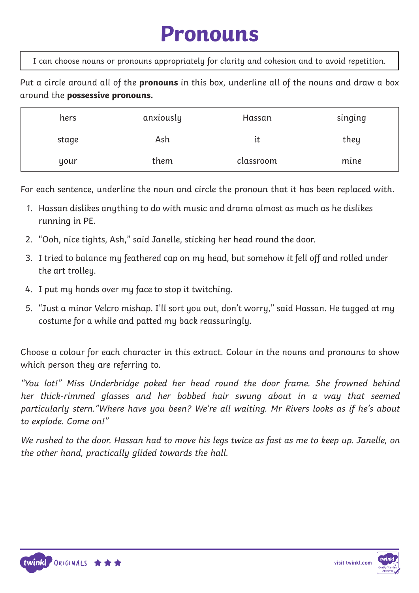## **Pronouns**

I can choose nouns or pronouns appropriately for clarity and cohesion and to avoid repetition.

Put a circle around all of the **pronouns** in this box, underline all of the nouns and draw a box around the **possessive pronouns.** 

| hers  | anxiously | Hassan    | singing |
|-------|-----------|-----------|---------|
| stage | Ash       | ιt        | they    |
| your  | them      | classroom | mine    |

For each sentence, underline the noun and circle the pronoun that it has been replaced with.

- 1. Hassan dislikes anything to do with music and drama almost as much as he dislikes running in PE.
- 2. "Ooh, nice tights, Ash," said Janelle, sticking her head round the door.
- 3. I tried to balance my feathered cap on my head, but somehow it fell off and rolled under the art trolley.
- 4. I put my hands over my face to stop it twitching.
- 5. "Just a minor Velcro mishap. I'll sort you out, don't worry," said Hassan. He tugged at my costume for a while and patted my back reassuringly.

Choose a colour for each character in this extract. Colour in the nouns and pronouns to show which person they are referring to.

"You lot!" Miss Underbridge poked her head round the door frame. She frowned behind her thick-rimmed glasses and her bobbed hair swung about in a way that seemed particularly stern."Where have you been? We're all waiting. Mr Rivers looks as if he's about to explode. Come on!"

We rushed to the door. Hassan had to move his legs twice as fast as me to keep up. Janelle, on the other hand, practically glided towards the hall.